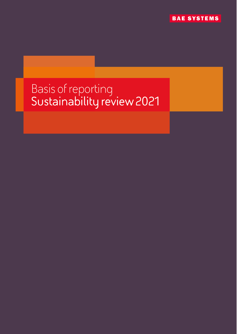**BAE SYSTEMS** 

# Basis of reporting<br>Sustainability review 2021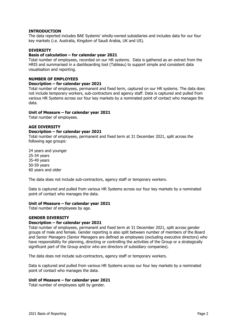#### **INTRODUCTION**

The data reported includes BAE Systems' wholly-owned subsidiaries and includes data for our four key markets (i.e. Australia, Kingdom of Saudi Arabia, UK and US).

### **DIVERSITY**

## **Basis of calculation – for calendar year 2021**

Total number of employees, recorded on our HR systems. Data is gathered as an extract from the HRIS and summarised in a dashboarding tool (Tableau) to support simple and consistent data visualisation and reporting.

#### **NUMBER OF EMPLOYEES**

#### **Description – for calendar year 2021**

Total number of employees, permanent and fixed term, captured on our HR systems. The data does not include temporary workers, sub-contractors and agency staff. Data is captured and pulled from various HR Systems across our four key markets by a nominated point of contact who manages the data.

#### **Unit of Measure – for calendar year 2021**

Total number of employees.

#### **AGE DIVERSITY**

#### **Description – for calendar year 2021**

Total number of employees, permanent and fixed term at 31 December 2021, split across the following age groups:

24 years and younger 25-34 years 35-49 years 50-59 years 60 years and older

The data does not include sub-contractors, agency staff or temporary workers.

Data is captured and pulled from various HR Systems across our four key markets by a nominated point of contact who manages the data.

#### **Unit of Measure – for calendar year 2021**

Total number of employees by age.

#### **GENDER DIVERSITY**

#### **Description – for calendar year 2021**

Total number of employees, permanent and fixed term at 31 December 2021, split across gender groups of male and female. Gender reporting is also split between number of members of the Board and Senior Managers (Senior Managers are defined as employees (excluding executive directors) who have responsibility for planning, directing or controlling the activities of the Group or a strategically significant part of the Group and/or who are directors of subsidiary companies).

The data does not include sub-contractors, agency staff or temporary workers.

Data is captured and pulled from various HR Systems across our four key markets by a nominated point of contact who manages the data.

#### **Unit of Measure – for calendar year 2021**

Total number of employees split by gender.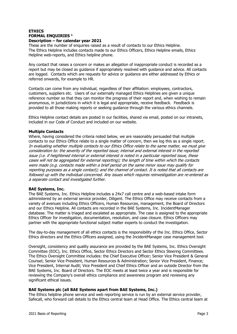## **ETHICS FORMAL ENQUIRIES <sup>1</sup> Description – for calendar year 2021**

These are the number of enquiries raised as a result of contacts to our Ethics Helpline. The Ethics Helpline includes contacts made to our Ethics Officers, Ethics Helpline emails, Ethics Helpline web-reports, and Ethics helpline phone.

Any contact that raises a concern or makes an allegation of inappropriate conduct is recorded as a report but may be closed as guidance if appropriately resolved with guidance and advice. All contacts are logged. Contacts which are requests for advice or guidance are either addressed by Ethics or referred onwards, for example to HR.

Contacts can come from any individual, regardless of their affiliation: employees, contractors, customers, suppliers etc. Users of our externally managed Ethics Helplines are given a unique reference number so that they can monitor the progress of their report and, when wishing to remain anonymous, in jurisdictions in which it is legal and appropriate, receive feedback. Feedback is provided to all those making reports or seeking guidance through the various ethics channels.

Ethics Helpline contact details are posted in our facilities, shared via email, posted on our intranets, included in our Code of Conduct and included on our website.

## **Multiple Contacts**

Where, having considered the criteria noted below, we are reasonably persuaded that multiple contacts to our Ethics Office relate to a single matter of concern, then we log this as a single report. In evaluating whether multiple contacts to our Ethics Office relate to the same matter, we must give consideration to: the severity of the reported issue; internal and external interest in the reported issue (i.e. if heightened internal or external interest is noted in a particular reported issue, these cases will not be aggregated for external reporting); the length of time within which the contacts were made (e.g. contacts made within a brief period on the same minor issue may qualify for reporting purposes as a single contact); and the channel of contact. It is noted that all contacts are followed up with the individual concerned. Any issues which requires reinvestigation are re-entered as a separate contact and investigated further.

#### **BAE Systems, Inc.**

The BAE Systems, Inc. Ethics Helpline includes a 24x7 call centre and a web-based intake form administered by an external service provider, Diligent. The Ethics Office may receive contacts from a variety of avenues including Ethics Officers, Human Resources, management, the Board of Directors and our Ethics Helpline. All contacts are recorded in the BAE Systems, Inc. IncidentManager database. The matter is triaged and escalated as appropriate. The case is assigned to the appropriate Ethics Officer for investigation, documentation, resolution, and case closure. Ethics Officers may partner with the appropriate functional subject matter experts to conduct the investigation.

The day-to-day management of all ethics contacts is the responsibility of the Inc. Ethics Office, Sector Ethics directors and the Ethics Officers assigned, using the IncidentManager case management tool.

Oversight, consistency and quality assurance are provided by the BAE Systems, Inc. Ethics Oversight Committee (EOC), Inc. Ethics Office, Sector Ethics Directors and Sector Ethics Steering Committees. The Ethics Oversight Committee includes: the Chief Executive Officer; Senior Vice President & General Counsel; Senior Vice President, Human Resources & Administration; Senior Vice President, Finance; Vice President, Internal Audit; Vice President and Chief Ethics Officer and an outside Director from the BAE Systems, Inc. Board of Directors. The EOC meets at least twice a year and is responsible for reviewing the Company's overall ethics compliance and awareness program and reviewing any significant ethical issues.

## **BAE Systems plc (all BAE Systems apart from BAE Systems, Inc.)**

The Ethics helpline phone service and web reporting service is run by an external service provider, Safecall, who forward call details to the Ethics central team at Head Office. The Ethics central team at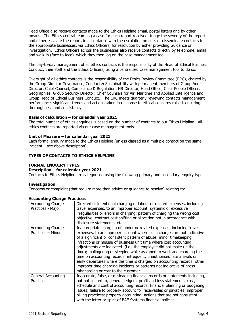Head Office also receive contacts made to the Ethics Helpline email, postal letters and by other means. The Ethics central team log a case for each report received, triage the severity of the report and either escalate the report, in accordance with the escalation process or disseminate contacts to the appropriate businesses, via Ethics Officers, for resolution by either providing Guidance or investigation. Ethics Officers across the businesses also receive contacts directly by telephone, email and walk-in (face to face), which they then log on the case management tool.

The day-to-day management of all ethics contacts is the responsibility of the Head of Ethical Business Conduct, their staff and the Ethics Officers, using a centralised case management tool to do so.

Oversight of all ethics contacts is the responsibility of the Ethics Review Committee (ERC), chaired by the Group Director Governance, Conduct & Sustainability with permanent members of Group Audit Director; Chief Counsel, Compliance & Regulation; HR Director, Head Office; Chief People Officer, Geographies; Group Security Director; Chief Counsels for Air, Maritime and Applied Intelligence and Group Head of Ethical Business Conduct. The ERC meets quarterly reviewing contacts management performance, significant trends and actions taken in response to ethical concerns raised, ensuring thoroughness and consistency.

#### **Basis of calculation – for calendar year 2021**

The total number of ethics enquiries is based on the number of contacts to our Ethics Helpline. All ethics contacts are reported via our case management tools.

#### **Unit of Measure – for calendar year 2021**

Each formal enquiry made to the Ethics Helpline (unless classed as a multiple contact on the same incident – see above description).

#### **TYPES OF CONTACTS TO ETHICS HELPLINE**

#### **FORMAL ENQUIRY TYPES**

#### **Description – for calendar year 2021**

Contacts to Ethics Helpline are categorised using the following primary and secondary enquiry types:

#### **Investigation**

Concerns or complaint (that require more than advice or guidance to resolve) relating to:

| <b>Accounting Charge</b><br>Practices - Major | Directed or intentional charging of labour or related expenses, including<br>travel expenses, to an improper account; systemic or excessive<br>irregularities or errors in charging; pattern of charging the wrong cost<br>objective; contract cost shifting or allocation not in accordance with<br>disclosure statements, etc.                                                                                                                                                                                                                                                                                                                                                                               |
|-----------------------------------------------|----------------------------------------------------------------------------------------------------------------------------------------------------------------------------------------------------------------------------------------------------------------------------------------------------------------------------------------------------------------------------------------------------------------------------------------------------------------------------------------------------------------------------------------------------------------------------------------------------------------------------------------------------------------------------------------------------------------|
| <b>Accounting Charge</b><br>Practices - Minor | Inappropriate charging of labour or related expenses, including travel<br>expenses, to an improper account where such charges are not indicative<br>of a significant or consistent pattern of abuse; minor timekeeping<br>infractions or misuse of business unit time where cost accounting<br>adjustments are indicated (i.e., the employee did not make up the<br>time); malingering or sleeping while assigned to work and charging the<br>time on accounting records; infrequent, unauthorised late arrivals or<br>early departures where the time is charged on accounting records; other<br>improper time charging incidents or patterns not indicative of gross<br>mischarging or cost to the customer. |
| General Accounting<br>Practices               | Inaccurate, false, or misleading financial records or statements including,<br>but not limited to, general ledgers, profit and loss statements, cost,<br>schedule and control accounting records; financial planning or budgeting<br>issues; failure to properly account for receivables or payables; improper<br>billing practices; property accounting; actions that are not consistent<br>with the letter or spirit of BAE Systems financial policies.                                                                                                                                                                                                                                                      |

#### **Accounting Charge Practices**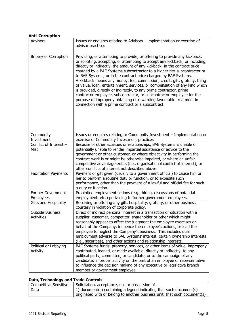| <b>Anti-Corruption</b>                       |                                                                                                                                                                                                                                                                                                                                                                                                                                                                                                                                                                                                                                                                                                                                                                                                                                   |
|----------------------------------------------|-----------------------------------------------------------------------------------------------------------------------------------------------------------------------------------------------------------------------------------------------------------------------------------------------------------------------------------------------------------------------------------------------------------------------------------------------------------------------------------------------------------------------------------------------------------------------------------------------------------------------------------------------------------------------------------------------------------------------------------------------------------------------------------------------------------------------------------|
| <b>Advisors</b>                              | Issues or enquires relating to Advisors - implementation or exercise of<br>advisor practices                                                                                                                                                                                                                                                                                                                                                                                                                                                                                                                                                                                                                                                                                                                                      |
| <b>Bribery or Corruption</b>                 | Providing, or attempting to provide, or offering to provide any kickback;<br>or soliciting, accepting, or attempting to accept any kickback; or including,<br>directly or indirectly, the amount of any kickback: in the contract price<br>charged by a BAE Systems subcontractor to a higher tier subcontractor or<br>to BAE Systems; or in the contract price charged by BAE Systems.<br>A kickback means any money, fee, commission, credit, gift, gratuity, thing<br>of value, loan, entertainment, services, or compensation of any kind which<br>is provided, directly or indirectly, to any prime contractor, prime<br>contractor employee, subcontractor, or subcontractor employee for the<br>purpose of improperly obtaining or rewarding favourable treatment in<br>connection with a prime contract or a subcontract. |
| Community<br>Investment                      | Issues or enquires relating to Community Investment - Implementation or<br>exercise of Community Investment practices                                                                                                                                                                                                                                                                                                                                                                                                                                                                                                                                                                                                                                                                                                             |
| Conflict of Interest -<br>Misc.              | Because of other activities or relationships, BAE Systems is unable or<br>potentially unable to render impartial assistance or advice to the<br>government or other customer, or where objectivity in performing the<br>contract work is or might be otherwise impaired, or where an unfair<br>competitive advantage exists (i.e., organisational conflict of interest); or<br>other conflicts of interest not described above.                                                                                                                                                                                                                                                                                                                                                                                                   |
| <b>Facilitation Payments</b>                 | Payment or gift given (usually to a government official) to cause him or<br>her to perform a routine duty or function, or to expedite such<br>performance, other than the payment of a lawful and official fee for such<br>a duty or function.                                                                                                                                                                                                                                                                                                                                                                                                                                                                                                                                                                                    |
| Former Government<br>Employees               | Prohibited employment actions (e.g., hiring, discussions of potential<br>employment, etc.) pertaining to former government employees.                                                                                                                                                                                                                                                                                                                                                                                                                                                                                                                                                                                                                                                                                             |
| Gifts and Hospitality                        | Receiving or offering any gift, hospitality, gratuity, or other business<br>courtesy in violation of corporate policy.                                                                                                                                                                                                                                                                                                                                                                                                                                                                                                                                                                                                                                                                                                            |
| <b>Outside Business</b><br><b>Activities</b> | Direct or indirect personal interest in a transaction or situation with a<br>supplier, customer, competitor, shareholder or other which might<br>reasonably appear to affect the judgment the employee exercises on<br>behalf of the Company, influence the employee's actions, or lead the<br>employee to neglect the Company's business. This includes dual<br>employment adverse to BAE Systems' interest, certain ownership interests<br>(i.e., securities), and other actions and relationship interests.                                                                                                                                                                                                                                                                                                                    |
| Political or Lobbying<br>Activity            | BAE Systems funds, property, services, or other items of value, improperly<br>contributed, loaned, or made available, directly or indirectly, to any<br>political party, committee, or candidate, or to the campaign of any<br>candidate; improper activity on the part of an employee or representative<br>to influence the decision making of any executive or legislative branch<br>member or government employee                                                                                                                                                                                                                                                                                                                                                                                                              |

## **Data, Technology and Trade Controls**

| <b>Competitive Sensitive</b> | Solicitation, acceptance, use or possession of                            |
|------------------------------|---------------------------------------------------------------------------|
| Data                         | 1) document(s) containing a legend indicating that such document(s)       |
|                              | originated with or belong to another business unit, that such document(s) |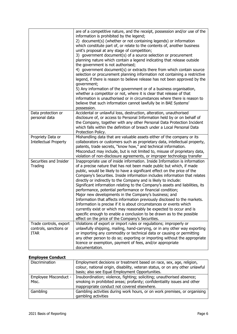|                                                                 | are of a competitive nature, and the receipt, possession and/or use of the<br>information is prohibited by the legend;<br>2) document(s) (whether or not containing legends) or information<br>which constitute part of, or relate to the contents of, another business<br>unit's proposal at any stage of competition;<br>3) government document(s) of a source selection or procurement<br>planning nature which contain a legend indicating that release outside<br>the government is not authorised;<br>4) government document(s) or extracts there from which contain source<br>selection or procurement planning information not containing a restrictive<br>legend, if there is reason to believe release has not been approved by the<br>government;<br>5) Any information of the government or of a business organisation,<br>whether a competitor or not, where it is clear that release of that<br>information is unauthorised or in circumstances where there is reason to<br>believe that such information cannot lawfully be in BAE Systems'<br>possession. |
|-----------------------------------------------------------------|---------------------------------------------------------------------------------------------------------------------------------------------------------------------------------------------------------------------------------------------------------------------------------------------------------------------------------------------------------------------------------------------------------------------------------------------------------------------------------------------------------------------------------------------------------------------------------------------------------------------------------------------------------------------------------------------------------------------------------------------------------------------------------------------------------------------------------------------------------------------------------------------------------------------------------------------------------------------------------------------------------------------------------------------------------------------------|
| Data protection or<br>personal data                             | Accidental or unlawful loss, destruction, alteration, unauthorised<br>disclosure of, or access to Personal Information held by or on behalf of<br>the Company, together with any other Personal Data Protection Incident<br>which falls within the definition of breach under a Local Personal Data<br>Protection Policy.                                                                                                                                                                                                                                                                                                                                                                                                                                                                                                                                                                                                                                                                                                                                                 |
| Propriety Data or<br><b>Intellectual Property</b>               | Mishandling data that are valuable assets either of the company or its<br>collaborators or customers such as proprietary data, intellectual property,<br>patents, trade secrets, "know how," and technical information.<br>Misconduct may include, but is not limited to, misuse of proprietary data,<br>violation of non-disclosure agreements, or improper technology transfer                                                                                                                                                                                                                                                                                                                                                                                                                                                                                                                                                                                                                                                                                          |
| Securities and Insider<br>Trading                               | Inappropriate use of inside information. Inside Information is information<br>of a precise nature that has not been made public but which, if made<br>public, would be likely to have a significant effect on the price of the<br>Company's Securities. Inside information includes information that relates<br>directly or indirectly to the Company and is likely to include:<br>Significant information relating to the Company's assets and liabilities, its<br>performance, potential performance or financial condition;<br>Major new developments in the Company's business; and<br>Information that affects information previously disclosed to the markets.<br>Information is precise if it is about circumstances or events which<br>currently exist or which may reasonably be expected to occur and is<br>specific enough to enable a conclusion to be drawn as to the possible<br>effect on the price of the Company's Securities.                                                                                                                           |
| Trade controls, export<br>controls, sanctions or<br><b>ITAR</b> | Violations of export or import rules or regulations; improperly or<br>unlawfully shipping, mailing, hand-carrying, or in any other way exporting<br>or importing any commodity or technical data or causing or permitting<br>any other person to do so; exporting or importing without the appropriate<br>licence or exemption, payment of fees, and/or appropriate<br>documentation.                                                                                                                                                                                                                                                                                                                                                                                                                                                                                                                                                                                                                                                                                     |

## **Employee Conduct**

| Discrimination                 | Employment decisions or treatment based on race, sex, age, religion,<br>colour, national origin, disability, veteran status, or on any other unlawful<br>basis; also see Equal Employment Opportunities. |
|--------------------------------|----------------------------------------------------------------------------------------------------------------------------------------------------------------------------------------------------------|
| Employee Misconduct -<br>Misc. | Insubordination; violence, fighting; soliciting; unauthorised absence;<br>smoking in prohibited areas; profanity; confidentiality issues and other<br>inappropriate conduct not covered elsewhere.       |
| Gambling                       | Gambling activities during work hours, or on work premises, or organising<br>gambling activities                                                                                                         |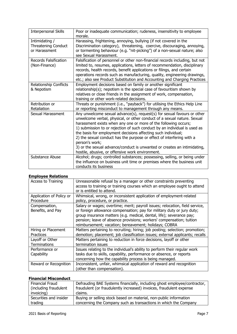| <b>Interpersonal Skills</b>  | Poor or inadequate communication; rudeness, insensitivity to employee<br>morale. |
|------------------------------|----------------------------------------------------------------------------------|
| Intimidating /               | Harassing, frightening, annoying, bullying (if not covered in the                |
| <b>Threatening Conduct</b>   | Discrimination category), threatening, coercive, discouraging, annoying,         |
| or Harassment                | or tormenting behaviour (e.g. "nit-picking") of a non-sexual nature; also        |
|                              | see Sexual Harassment.                                                           |
| <b>Records Falsification</b> | Falsification of personnel or other non-financial records including, but not     |
| (Non-Finance)                | limited to, resumes, applications, letters of recommendation, disciplinary       |
|                              | records, health records, benefit applications or filings, and certain            |
|                              | operations records such as manufacturing, quality, engineering drawings,         |
|                              | etc.; also see Product Substitution and Accounting and Charging Practices        |
| Relationship Conflicts       | Employment decisions based on family or another significant                      |
| & Nepotism                   | relationship(s); nepotism is the special case of favouritism shown by            |
|                              | relatives or close friends in the assignment of work, compensation,              |
|                              | training or other work-related decisions.                                        |
| Retribution or               | Threats or punishment (i.e., "payback") for utilising the Ethics Help Line       |
| Retaliation                  | or reporting misconduct to management through any means.                         |
| Sexual Harassment            | Any unwelcome sexual advance(s), request(s) for sexual favours or other          |
|                              | unwelcome verbal, physical, or other conduct of a sexual nature. Sexual          |
|                              | harassment exists when any one or more of the following occurs;                  |
|                              | 1) submission to or rejection of such conduct by an individual is used as        |
|                              | the basis for employment decisions affecting such individual;                    |
|                              | 2) the sexual conduct has the purpose or effect of interfering with a            |
|                              | person's work;                                                                   |
|                              | 3) or the sexual advance/conduct is unwanted or creates an intimidating,         |
|                              | hostile, abusive, or offensive work environment.                                 |
| Substance Abuse              | Alcohol; drugs; controlled substances; possessing, selling, or being under       |
|                              | the influence on business unit time or premises where the business unit          |
|                              | conducts its business                                                            |

## **Employee Relations**

| Access to Training                    | Unreasonable refusal by a manager or other constraints preventing<br>access to training or training courses which an employee ought to attend<br>or is entitled to attend.                                                                                                                                                                                      |
|---------------------------------------|-----------------------------------------------------------------------------------------------------------------------------------------------------------------------------------------------------------------------------------------------------------------------------------------------------------------------------------------------------------------|
| Application of Policy or<br>Procedure | Whimsical, wrong, or inconsistent application of employment-related<br>policy, procedure, or practice.                                                                                                                                                                                                                                                          |
| Compensation,<br>Benefits, and Pay    | Salary or wages; overtime; merit; payroll issues; relocation, field service,<br>or foreign allowance compensation; pay for military duty or jury duty;<br>group insurance matters (e.g. medical, dental, life); severance pay;<br>pension; leave of absence provisions; workers' compensation; tuition<br>reimbursement; vacation; bereavement; holidays; COBRA |
| Hiring or Placement<br>Practices      | Matters pertaining to recruiting; hiring; job posting; selection; promotion;<br>demotion; placement; job classification issues; external applicants; recalls                                                                                                                                                                                                    |
| Layoff or Other<br>Terminations       | Matters pertaining to reduction in force decisions, layoff or other<br>termination issues                                                                                                                                                                                                                                                                       |
| Performance or<br>Capability          | Issues relating to the individual's ability to perform their regular work<br>tasks due to skills, capability, performance or absence, or reports<br>concerning how the capability process is being managed.                                                                                                                                                     |
| Reward or Recognition                 | Inconsistent, unfair, whimsical application of reward and recognition<br>(other than compensation).                                                                                                                                                                                                                                                             |

## **Financial Misconduct**

| Financial Fraud        | Defrauding BAE Systems financially, including ghost employee/contractor, |
|------------------------|--------------------------------------------------------------------------|
| (including fraudulent  | fraudulent (or fraudulently increased) invoices, fraudulent expense      |
| invoicing)             | claims.                                                                  |
| Securities and insider | Buying or selling stock based on material, non-public information        |
| trading                | concerning the Company such as transactions in which the Company         |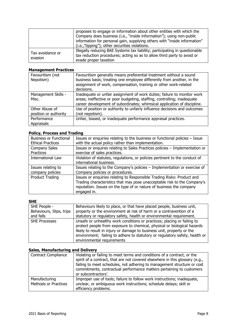|                             | proposes to engage or information about other entities with which the<br>Company does business (i.e., "inside information"); using non-public<br>information for personal gain, supplying others with "inside information"<br>(i.e.,"tipping"); other securities violations. |
|-----------------------------|------------------------------------------------------------------------------------------------------------------------------------------------------------------------------------------------------------------------------------------------------------------------------|
| Tax avoidance or<br>evasion | Illegally reducing BAE Systems tax liability; participating in questionable<br>tax reduction procedures; acting so as to allow third party to avoid or<br>evade proper taxation                                                                                              |

## **Management Practices**

| Favouritism (not<br>Nepotism)           | Favouritism generally means preferential treatment without a sound<br>business basis; treating one employee differently from another, in the<br>assignment of work, compensation, training or other work-related<br>decisions. |
|-----------------------------------------|--------------------------------------------------------------------------------------------------------------------------------------------------------------------------------------------------------------------------------|
| Management Skills -<br>Misc.            | Inadequate or unfair assignment of work duties; failure to monitor work<br>areas; ineffective or poor budgeting, staffing, controlling; inadequate<br>career development of subordinates; whimsical application of discipline. |
| Other Abuse of<br>position or authority | Use of position or authority to unfairly influence decisions and outcomes<br>(not nepotism).                                                                                                                                   |
| Performance<br><b>Appraisals</b>        | Unfair, biased, or inadequate performance appraisal practices.                                                                                                                                                                 |

# **Policy, Process and Trading**

| <b>Business or Functional</b> | Issues or enquiries relating to the business or functional policies - Issue |
|-------------------------------|-----------------------------------------------------------------------------|
| <b>Ethical Practices</b>      | with the actual policy rather than implementation.                          |
| <b>Company Sales</b>          | Issues or enquires relating to Sales Practices policies - Implementation or |
| Practices                     | exercise of sales practices.                                                |
| <b>International Law</b>      | Violation of statutes, regulations, or policies pertinent to the conduct of |
|                               | international business.                                                     |
| Issues relating to            | Issues relating to the Company's policies - Implementation or exercise of   |
| company policies              | Company policies or procedures.                                             |
| Product Trading               | Issues or enquiries relating to Responsible Trading Risks: Product and      |
|                               | Trading characteristics that may pose unacceptable risk to the Company's    |
|                               | reputation. Issues on the type of or nature of business the company         |
|                               | engaged in.                                                                 |
|                               |                                                                             |

## **SHE**

| SHE People -             | Behaviours likely to place, or that have placed people, business unit,                                                                              |
|--------------------------|-----------------------------------------------------------------------------------------------------------------------------------------------------|
| Behaviours, Slips, trips | property or the environment at risk of harm or a contravention of a                                                                                 |
| and falls                | statutory or regulatory safety, health or environmental requirement.                                                                                |
| <b>SHE Processes</b>     | Unsafe or unhealthy work conditions or practices; placing or failing to<br>protect people from exposure to chemical, physical or biological hazards |
|                          | likely to result in injury or damage to business unit, property or the                                                                              |
|                          | environment; failing to adhere to statutory or regulatory safety, health or                                                                         |
|                          | environmental requirements                                                                                                                          |

## **Sales, Manufacturing and Delivery**

| <b>Contract Compliance</b>            | Violating or failing to meet terms and conditions of a contract, or the<br>spirit of a contract, that are not covered elsewhere in this glossary (e.g.,<br>failing to meet schedules, not adhering to management structure or cost<br>commitments, contractual performance matters pertaining to customers<br>or subcontractors'. |
|---------------------------------------|-----------------------------------------------------------------------------------------------------------------------------------------------------------------------------------------------------------------------------------------------------------------------------------------------------------------------------------|
| Manufacturing<br>Methods or Practices | Improper use of tools; failure to follow work instructions; inadequate,<br>unclear, or ambiguous work instructions; schedule delays; skill or<br>efficiency problems.                                                                                                                                                             |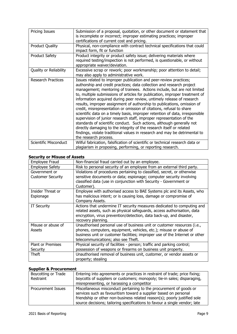| <b>Pricing Issues</b>     | Submission of a proposal, quotation, or other document or statement that<br>is incomplete or incorrect; improper estimating practices; improper<br>certifications of current cost and pricing.                                                                                                                                                                                                                                                                                                                                                                                                                                                                                                                                                                                                                                                                                                                                                   |
|---------------------------|--------------------------------------------------------------------------------------------------------------------------------------------------------------------------------------------------------------------------------------------------------------------------------------------------------------------------------------------------------------------------------------------------------------------------------------------------------------------------------------------------------------------------------------------------------------------------------------------------------------------------------------------------------------------------------------------------------------------------------------------------------------------------------------------------------------------------------------------------------------------------------------------------------------------------------------------------|
| <b>Product Quality</b>    | Physical, non-compliance with contract technical specifications that could<br>impact form, fit or function                                                                                                                                                                                                                                                                                                                                                                                                                                                                                                                                                                                                                                                                                                                                                                                                                                       |
| <b>Product Safety</b>     | Product integrity or product safety issue; delivering materials where<br>required testing/inspection is not performed, is questionable, or without<br>appropriate waiver/deviation.                                                                                                                                                                                                                                                                                                                                                                                                                                                                                                                                                                                                                                                                                                                                                              |
| Quality or Reliability    | Excessive scrap or rework; poor workmanship; poor attention to detail;<br>may also apply to administrative work.                                                                                                                                                                                                                                                                                                                                                                                                                                                                                                                                                                                                                                                                                                                                                                                                                                 |
| <b>Research Practices</b> | Issues related to improper publication and peer-review practices;<br>authorship and credit practices; data collection and research project<br>management; mentoring of trainees. Actions include, but are not limited<br>to, multiple submissions of articles for publication, improper treatment of<br>information acquired during peer review, untimely release of research<br>results, improper assignment of authorship to publications, omission of<br>credit, misrepresentation or omission of citations, refusal to share<br>scientific data on a timely basis, improper retention of data, irresponsible<br>supervision of junior research staff, improper representation of the<br>standards of scientific conduct. Such actions, although generally not<br>directly damaging to the integrity of the research itself or related<br>findings, violate traditional values in research and may be detrimental to<br>the research process. |
| Scientific Misconduct     | Wilful fabrication, falsification of scientific or technical research data or<br>plagiarism in proposing, performing, or reporting research.                                                                                                                                                                                                                                                                                                                                                                                                                                                                                                                                                                                                                                                                                                                                                                                                     |

# **Security or Misuse of Assets**

| can ity of filoase of Ass |                                                                             |
|---------------------------|-----------------------------------------------------------------------------|
| Employee Fraud            | Non-financial fraud carried out by an employee.                             |
| <b>Employee Safety</b>    | Risk to personal security of an employee from an external third party.      |
| Government or             | Violations of procedures pertaining to classified, secret, or otherwise     |
| <b>Customer Security</b>  | sensitive documents or data; espionage; computer security involving         |
|                           | classified data (use in conjunction with Security - Government or           |
|                           | Customer).                                                                  |
| Insider Threat or         | Employee with authorised access to BAE Systems plc and its Assets, who      |
| Espionage                 | has malicious intent; or is causing loss, damage or compromise of           |
|                           | Company Assets.                                                             |
| <b>IT Security</b>        | Actions that undermine IT security measures dedicated to computing and      |
|                           | related assets, such as physical safeguards, access authorisation, data     |
|                           | encryption, virus prevention/detection, data back-up, and disaster,         |
|                           | recovery planning.                                                          |
| Misuse or abuse of        | Unauthorised personal use of business unit or customer resources (i.e.,     |
| Assets                    | phones, computers, equipment, vehicles, etc.); misuse or abuse of           |
|                           | business unit or customer facilities; improper use of the Internet or other |
|                           | telecommunications; also see Theft.                                         |
| <b>Plant or Premises</b>  | Physical security of facilities - person; traffic and parking control;      |
| Security                  | possession of weapons or firearms on business unit property.                |
| Theft                     | Unauthorised removal of business unit, customer, or vendor assets or        |
|                           | property; stealing                                                          |

## **Supplier & Procurement**

| Boycotting or Trade<br>Restraint | Entering into agreements or practices in restraint of trade; price fixing;<br>boycotts of suppliers or customers; monopoly; tie-in sales; disparaging,<br>misrepresenting, or harassing a competitor                                                                                              |
|----------------------------------|---------------------------------------------------------------------------------------------------------------------------------------------------------------------------------------------------------------------------------------------------------------------------------------------------|
| <b>Procurement Issues</b>        | Miscellaneous misconduct pertaining to the procurement of goods or<br>services such as favouritism toward a supplier based on personal<br>friendship or other non-business related reason(s); poorly justified sole<br>source decisions; tailoring specifications to favour a single vendor; late |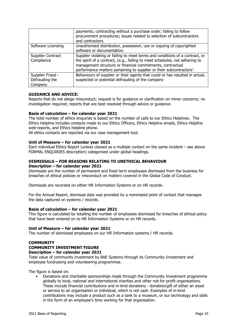|                                               | payments; contracting without a purchase order; failing to follow<br>procurement procedures; issues related to selection of subcontractors<br>and contractors.                                                                                                                                    |
|-----------------------------------------------|---------------------------------------------------------------------------------------------------------------------------------------------------------------------------------------------------------------------------------------------------------------------------------------------------|
| Software Licensing                            | Unauthorised distribution, possession, use or copying of copyrighted<br>software or documentation.                                                                                                                                                                                                |
| Supplier Contract<br>Compliance               | Supplier violating or failing to meet terms and conditions of a contract, or<br>the spirit of a contract, (e.g., failing to meet schedules, not adhering to<br>management structure or financial commitments, contractual<br>performance matters pertaining to supplier or their subcontractors'. |
| Supplier Fraud -<br>Defrauding the<br>Company | Behaviours of supplier or their agents that could or has resulted in actual,<br>suspected or potential defrauding of the company                                                                                                                                                                  |

## **GUIDANCE AND ADVICE:**

Reports that do not allege misconduct; request is for guidance or clarification on minor concerns; no investigation required; reports that are best resolved through advice or guidance.

#### **Basis of calculation – for calendar year 2021**

The total number of ethics enquiries is based on the number of calls to our Ethics Helplines. The Ethics Helpline includes contacts made to our Ethics Officers, Ethics Helpline emails, Ethics Helpline web-reports, and Ethics helpline phone.

All ethics contacts are reported via our case management tool.

#### **Unit of Measure – for calendar year 2021**

Each individual Ethics Report (unless classed as a multiple contact on the same incident – see above FORMAL ENQUIRIES description) categorised under global headings.

## **DISMISSALS – FOR REASONS RELATING TO UNETHICAL BEHAVIOUR**

#### **Description – for calendar year 2021**

Dismissals are the number of permanent and fixed term employees dismissed from the business for breaches of ethical policies or misconduct on matters covered in the Global Code of Conduct.

Dismissals are recorded on either HR Information Systems or on HR records.

For the Annual Report, dismissal data was provided by a nominated point of contact that manages the data captured on systems / records.

#### **Basis of calculation – for calendar year 2021**

This figure is calculated by totalling the number of employees dismissed for breaches of ethical policy that have been entered on to HR Information Systems or on HR records.

#### **Unit of Measure – for calendar year 2021**

The number of dismissed employees on our HR Information systems / HR records.

## **COMMUNITY COMMUNITY INVESTMENT FIGURE**

## **Description – for calendar year 2021**

Total value of community investment by BAE Systems through its Community Investment and employee fundraising and volunteering programmes.

The figure is based on:

• Donations and charitable sponsorships made through the Community Investment programme globally to local, national and international charities and other not-for-profit organisations. These include financial contributions and in-kind donations - donation/gift of either an asset or service to an organisation or individual, which is not cash. Examples of in-kind contributions may include a product such as a tank to a museum, or our technology and skills in the form of an employee's time working for that organisation.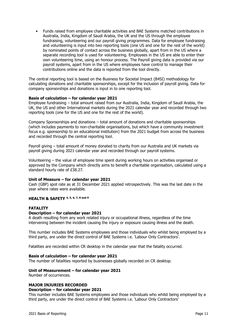• Funds raised from employee charitable activities and BAE Systems matched contributions in Australia, India, Kingdom of Saudi Arabia, the UK and the US through the employee fundraising, volunteering and our payroll giving programmes. Data for employee fundraising and volunteering is input into two reporting tools (one US and one for the rest of the world) by nominated points of contact across the business globally, apart from in the US where a separate recording tool is used for volunteering. Employees in the US are able to enter their own volunteering time, using an honour process. The Payroll giving data is provided via our payroll systems, apart from in the US where employees have control to manage their contributions online and the data is reported from the tool directly.

The central reporting tool is based on the Business for Societal Impact (B4SI) methodology for calculating donations and charitable sponsorships, except for the inclusion of payroll giving. Data for company sponsorships and donations is input in to one reporting tool.

#### **Basis of calculation – for calendar year 2021**

Employee fundraising – total amount raised from our Australia, India, Kingdom of Saudi Arabia, the UK, the US and other International markets during the 2021 calendar year and recorded through two reporting tools (one for the US and one for the rest of the world).

Company Sponsorships and donations – total amount of donations and charitable sponsorships (which includes payments to non-charitable organisations, but which have a community investment focus e.g. sponsorship to an educational institution) from the 2021 budget from across the business and recorded through the central reporting tool.

Payroll giving – total amount of money donated to charity from our Australia and UK markets via payroll giving during 2021 calendar year and recorded through our payroll systems.

Volunteering – the value of employee time spent during working hours on activities organised or approved by the Company which directly aims to benefit a charitable organisation, calculated using a standard hourly rate of £38.27.

#### **Unit of Measure – for calendar year 2021**

Cash (GBP) spot rate as at 31 December 2021 applied retrospectively. This was the last date in the year where rates were available.

#### **HEALTH & SAFETY 4, 5, 6, 7, 8 and 9**

## **FATALITY**

#### **Description – for calendar year 2021**

A death resulting from any work related injury or occupational illness, regardless of the time intervening between the incident causing the injury or exposure causing illness and the death.

This number includes BAE Systems employees and those individuals who whilst being employed by a third party, are under the direct control of BAE Systems i.e. 'Labour Only Contractors'.

Fatalities are recorded within CR desktop in the calendar year that the fatality occurred.

#### **Basis of calculation – for calendar year 2021**

The number of fatalities reported by businesses globally recorded on CR desktop.

#### **Unit of Measurement – for calendar year 2021**

Number of occurrences.

# **MAJOR INJURIES RECORDED**

## **Description – for calendar year 2021**

This number includes BAE Systems employees and those individuals who whilst being employed by a third party, are under the direct control of BAE Systems i.e. 'Labour Only Contractors'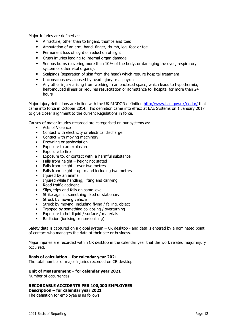Major Injuries are defined as:

- A fracture, other than to fingers, thumbs and toes
- Amputation of an arm, hand, finger, thumb, leg, foot or toe
- Permanent loss of sight or reduction of sight
- Crush injuries leading to internal organ damage
- Serious burns (covering more than 10% of the body, or damaging the eyes, respiratory system or other vital organs).
- Scalpings (separation of skin from the head) which require hospital treatment
- Unconsciousness caused by head injury or asphyxia
- Any other injury arising from working in an enclosed space, which leads to hypothermia, heat-induced illness or requires resuscitation or admittance to hospital for more than 24 hours

Major injury definitions are in line with the UK RIDDOR definition<http://www.hse.gov.uk/riddor/> that came into force in October 2014. This definition came into effect at BAE Systems on 1 January 2017 to give closer alignment to the current Regulations in force.

Causes of major injuries recorded are categorised on our systems as:

- Acts of Violence
- Contact with electricity or electrical discharge
- Contact with moving machinery
- Drowning or asphyxiation<br>• Exposure to an explosion
- Exposure to an explosion
- Exposure to fire
- Exposure to, or contact with, a harmful substance
- Falls from height  $-$  height not stated
- Falls from height  $-$  over two metres
- Falls from height  $-$  up to and including two metres
- Injured by an animal
- Injured while handling, lifting and carrying
- Road traffic accident
- Slips, trips and falls on same level
- Strike against something fixed or stationary
- Struck by moving vehicle
- Struck by moving, including flying / falling, object
- Trapped by something collapsing / overturning
- Exposure to hot liquid / surface / materials
- Radiation (ionising or non-ionising)

Safety data is captured on a global system – CR desktop - and data is entered by a nominated point of contact who manages the data at their site or business.

Major injuries are recorded within CR desktop in the calendar year that the work related major injury occurred.

#### **Basis of calculation – for calendar year 2021**

The total number of major injuries recorded on CR desktop.

## **Unit of Measurement – for calendar year 2021**

Number of occurrences.

## **RECORDABLE ACCIDENTS PER 100,000 EMPLOYEES**

**Description – for calendar year 2021**

The definition for employee is as follows: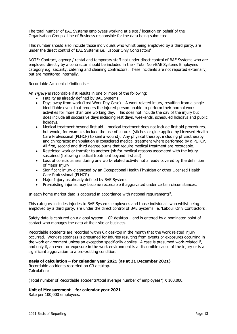The total number of BAE Systems employees working at a site / location on behalf of the Organisation Group / Line of Business responsible for the data being submitted.

This number should also include those individuals who whilst being employed by a third party, are under the direct control of BAE Systems i.e. 'Labour Only Contractors'

NOTE: Contract, agency / rental and temporary staff not under direct control of BAE Systems who are employed directly by a contractor should be included in the - Total Non-BAE Systems Employees category e.g. security, catering and cleaning contractors. These incidents are not reported externally, but are monitored internally.

Recordable Accident definition is –

An  $Injury$  is recordable if it results in one or more of the following:

- Fatality as already defined by BAE Systems<br>• Days away from work (Lost Work-Day Case
- Days away from work (Lost Work-Day Case) A work related injury, resulting from a single identifiable event that renders the injured person unable to perform their normal work activities for more than one working day. This does not include the day of the injury but does include all successive days including rest days, weekends, scheduled holidays and public holidays.
- Medical treatment beyond first aid medical treatment does not include first aid procedures, but would, for example, include the use of sutures (stiches or glue applied by Licensed Health Care Professional (PLHCP) to seal a wound). Any physical therapy, including physiotherapy and chiropractic manipulation is considered medical treatment where performed by a PLHCP. All first, second and third degree burns that require medical treatment are recordable.
- Restricted work or transfer to another job for medical reasons associated with the injury sustained (following medical treatment beyond first aid)
- Loss of consciousness during any work-related activity not already covered by the definition of Major Injury
- Significant injury diagnosed by an Occupational Health Physician or other Licensed Health Care Professional (PLHCP)
- Major Injury as already defined by BAE Systems
- Pre-existing injuries may become recordable if aggravated under certain circumstances.

In each home market data is captured in accordance with national requirements**<sup>7</sup>**.

This category includes injuries to BAE Systems employees and those individuals who whilst being employed by a third party, are under the direct control of BAE Systems i.e. 'Labour Only Contractors'.

Safety data is captured on a global system – CR desktop – and is entered by a nominated point of contact who manages the data at their site or business.

Recordable accidents are recorded within CR desktop in the month that the work related injury occurred. Work-relatedness is presumed for injuries resulting from events or exposures occurring in the work environment unless an exception specifically applies. A case is presumed work-related if, and only if, an event or exposure in the work environment is a discernible cause of the injury or is a significant aggravation to a pre-existing condition.

## **Basis of calculation – for calendar year 2021 (as at 31 December 2021)**

Recordable accidents recorded on CR desktop. Calculation:

(Total number of Recordable accidents/total average number of employees**9**) X 100,000.

## **Unit of Measurement – for calendar year 2021**

Rate per 100,000 employees.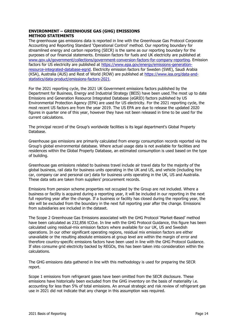## **ENVIRONMENT – GREENHOUSE GAS (GHG) EMISSIONS METHOD STATEMENTS**

The greenhouse gas emissions data is reported in line with the Greenhouse Gas Protocol Corporate Accounting and Reporting Standard 'Operational Control' method. Our reporting boundary for streamlined energy and carbon reporting (SECR) is the same as our reporting boundary for the purposes of our financial statements. Emission factors for fuels and UK electricity are [published](http://published/) at [www.gov.uk/government/collections/government-conversion-factors-for-company-reporting.](http://www.gov.uk/government/collections/government-conversion-factors-for-company-reporting) Emission factors for US electricity are published at [https://www.epa.gov/energy/emissions-generation](https://www.epa.gov/energy/emissions-generation-resource-integrated-database-egrid)[resource-integrated-database-egrid.](https://www.epa.gov/energy/emissions-generation-resource-integrated-database-egrid) Electricity emission factors for Sweden (SWE), Saudi Arabia (KSA), Australia (AUS) and Rest of World (ROW) are published at [https://www.iea.org/data-and](https://www.iea.org/data-and-statistics/data-product/emissions-factors-2021)[statistics/data-product/emissions-factors-2021.](https://www.iea.org/data-and-statistics/data-product/emissions-factors-2021)

For the 2021 reporting cycle, the 2021 UK Government emissions factors published by the Department for Business, Energy and Industrial Strategy (BEIS) have been used.The most up to date Emissions and Generation Resource Integrated Database (eGRID) factors published by US Environmental Protection Agency (EPA) are used for US electricity. For the 2021 reporting cycle, the most recent US factors are from the year 2019. The US EPA are due to release the updated 2020 figures in quarter one of this year, however they have not been released in time to be used for the current calculations.

The principal record of the Group's worldwide facilities is its legal department's Global Property Database.

Greenhouse gas emissions are primarily calculated from energy consumption records reported via the Group's global environmental database. Where actual usage data is not available for facilities and residences within the Global Property Database, an estimated consumption is used based on the type of building.

Greenhouse gas emissions related to business travel include air travel data for the majority of the global business, rail data for business units operating in the UK and US, and vehicle (including hire car, company car and personal car) data for business units operating in the UK, US and Australia. These data sets are taken from suppliers' procurement records.

Emissions from pension scheme properties not occupied by the Group are not included. Where a business or facility is acquired during a reporting year, it will be included in our reporting in the next full reporting year after the change. If a business or facility has closed during the reporting year, the site will be excluded from the boundary in the next full reporting year after the change. Emissions from subsidiaries are included in the dataset.

The Scope 2 Greenhouse Gas Emissions associated with the GHG Protocol 'Market-Based' method have been calculated as 232,856 tCO<sub>2</sub>e. In line with the GHG Protocol Guidance, this figure has been calculated using residual-mix emission factors where available for our UK, US and Swedish operations. In our other significant operating regions, residual mix emission factors are either unavailable or the resulting absolute emissions at group level are within the margin of error and therefore country-specific emissions factors have been used in line with the GHG Protocol Guidance. If sites consume grid electricity backed by REGOs, this has been taken into consideration within the calculations.

The GHG emissions data gathered in line with this methodology is used for preparing the SECR report.

Scope 1 emissions from refrigerant gases have been omitted from the SECR disclosure. These emissions have historically been excluded from the GHG inventory on the basis of materiality i.e. accounting for less than 5% of total emissions. An annual strategic and risk review of refrigerant gas use in 2021 did not indicate that any change in this assumption was required.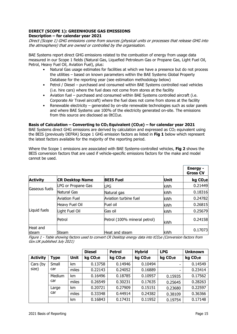# **DIRECT (SCOPE 1): GREENHOUSE GAS EMISSIONS**

## **Description – for calendar year 2021**

Direct (Scope 1) GHG emissions come from sources (physical units or processes that release GHG into the atmosphere) that are owned or controlled by the organisation.

BAE Systems report direct GHG emissions related to the combustion of energy from usage data measured in our Scope 1 fields (Natural Gas, Liquefied Petroleum Gas or Propane Gas, Light Fuel Oil, Petrol, Heavy Fuel Oil, Aviation Fuel), plus:

- Natural Gas usage estimates for facilities at which we have a presence but do not process the utilities – based on known parameters within the BAE Systems Global Property Database for the reporting year (see estimation methodology below)
- Petrol / Diesel purchased and consumed within BAE Systems controlled road vehicles (i.e. hire cars) where the fuel does not come from stores at the facility
- Aviation fuel purchased and consumed within BAE Systems controlled aircraft (i.e. Corporate Air Travel aircraft) where the fuel does not come from stores at the facility
- Renewable electricity generated by on-site renewable technologies such as solar panels and where BAE Systems use 100% of the electricity generated on-site. The emissions from this source are disclosed as  $0tCO<sub>2</sub>e$ .

## **Basis of Calculation – Converting to CO2 Equivalent (CO2e) – for calendar year 2021**

BAE Systems direct GHG emissions are derived by calculation and expressed as  $CO<sub>2</sub>$  equivalent using the BEIS (previously DEFRA) Scope 1 GHG emission factors as listed in **Fig 1** below which represent the latest factors available for the majority of the reporting period.

Where the Scope 1 emissions are associated with BAE Systems-controlled vehicles, **Fig 2** shows the BEIS conversion factors that are used if vehicle-specific emissions factors for the make and model cannot be used.

|                   |                        |                              |             | <b>Energy -</b><br><b>Gross CV</b> |
|-------------------|------------------------|------------------------------|-------------|------------------------------------|
| <b>Activity</b>   | <b>CR Desktop Name</b> | <b>BEIS Fuel</b>             | <b>Unit</b> | kg CO <sub>2</sub> e               |
|                   | LPG or Propane Gas     | LPG                          | kWh         | 0.21449                            |
| Gaseous fuels     | Natural Gas            | Natural gas                  | kWh         | 0.18316                            |
|                   | <b>Aviation Fuel</b>   | Aviation turbine fuel        | kWh         | 0.24782                            |
|                   | Heavy Fuel Oil         | Fuel oil                     | kWh         | 0.26815                            |
| Liquid fuels      | Light Fuel Oil         | Gas oil                      | kWh         | 0.25679                            |
|                   | Petrol                 | Petrol (100% mineral petrol) | kWh         | 0.24158                            |
| Heat and<br>steam | Steam                  | Heat and steam               | <b>kWh</b>  | 0.17073                            |

Figure 1 - Table showing factors used to convert CR Desktop energy data into tCO<sub>2</sub>e (Conversion factors from Gov.UK published July 2021)

|                 |             |             | <b>Diesel</b>        | <b>Petrol</b>        | <b>Hybrid</b>        | <b>LPG</b>           | <b>Unknown</b>       |
|-----------------|-------------|-------------|----------------------|----------------------|----------------------|----------------------|----------------------|
| <b>Activity</b> | <b>Type</b> | <b>Unit</b> | kg CO <sub>2</sub> e | kg CO <sub>2</sub> e | kg CO <sub>2</sub> e | kg CO <sub>2</sub> e | kg CO <sub>2</sub> e |
| Cars (by        | Small       | km          | 0.13758              | 0.14946              | 0.10494              | -                    | 0.14549              |
| size)           | car         | miles       | 0.22143              | 0.24052              | 0.16889              | -                    | 0.23414              |
|                 | Medium      | km          | 0.16496              | 0.18785              | 0.10957              | 0.15935              | 0.17562              |
|                 | car         | miles       | 0.26549              | 0.30231              | 0.17635              | 0.25645              | 0.28263              |
|                 | Large       | km          | 0.20721              | 0.27909              | 0.15151              | 0.23680              | 0.22597              |
|                 | car         | miles       | 0.33348              | 0.44914              | 0.24382              | 0.38109              | 0.36366              |
|                 |             | km          | 0.16843              | 0.17431              | 0.11952              | 0.19754              | 0.17148              |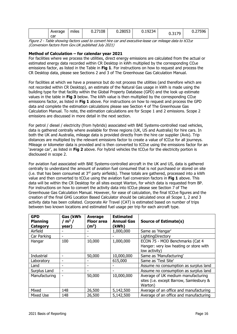| Average<br>car | <br>miles | 27108<br>. <b></b> | 0.28053 | adra i<br>$\cdot$ .<br><u>U.IJZJ</u> | 2170<br><b>0.JI</b> | 0.27<br>ונו<br>JJU |
|----------------|-----------|--------------------|---------|--------------------------------------|---------------------|--------------------|
|----------------|-----------|--------------------|---------|--------------------------------------|---------------------|--------------------|

Figure 2 - Table showing factors used to convert hire car and executive-lease car mileage data to tCO<sub>2</sub>e (Conversion factors from Gov.UK published July 2021)

## **Method of Calculation – for calendar year 2021**

For facilities where we process the utilities, direct energy emissions are calculated from the actual or estimated energy data recorded within CR Desktop in kWh multiplied by the corresponding CO<sub>2</sub>e emissions factor, as listed in the Table in **Fig 1**. For instructions on how to request and process the CR Desktop data, please see Sections 2 and 3 of The Greenhouse Gas Calculation Manual.

For facilities at which we have a presence but do not process the utilities (and therefore which are not recorded within CR Desktop), an estimate of the Natural Gas usage in kWh is made using the building type for that facility within the Global Property Database (GPD) and the look up estimate values in the table in **Fig 3** below. The kWh value is then multiplied by the corresponding CO2e emissions factor, as listed in **Fig 1** above. For instructions on how to request and process the GPD data and complete the estimation calculations please see Section 4 of The Greenhouse Gas Calculation Manual. To note, the estimation calculations are for Scope 1 and 2 emissions. Scope 2 emissions are discussed in more detail in the next section.

For petrol / diesel / electricity (from hybrids) associated with BAE Systems-controlled road vehicles, data is gathered centrally where available for three regions (UK, US and Australia) for hire cars. In both the UK and Australia, mileage data is provided directly from the hire car supplier (Avis). Trip distances are multiplied by the relevant emissions factor to create a value of tCO<sub>2</sub>e for all journeys. Mileage or kilometer data is provided and is then converted to tCO<sub>2</sub>e using the emissions factor for an 'average car', as listed in Fig 2 above. For hybrid vehicles the tCO<sub>2</sub>e for the electricity portion is discloused in scope 2.

For aviation fuel associated with BAE Systems-controlled aircraft in the UK and US, data is gathered centrally to understand the amount of aviation fuel consumed that is not purchased or stored on site (i.e. that has been consumed at  $3<sup>rd</sup>$  party airfields). These totals are gathered, processed into a kWh value and then converted to tCO<sub>2</sub>e using the aviation fuel conversion factors in Fig 1 above. This data will be within the CR Desktop for all sites except Warton, for which data is requested from BP. For instructions on how to convert the activity data into tCO<sub>2</sub>e please see Section 7 of The Greenhouse Gas Calculation Manual. However, for ease of calculation, the final tCO<sub>2</sub>e figures and the creation of the final GHG Location Based Calculator should be calculated once all Scope 1, 2 and 3 activity data has been collated. Corporate Air Travel (CAT) is estimated based on number of trips between two known locations and estimated fuel usage per trip for each aircraft type.

| <b>GPD</b><br><b>Planning</b><br><b>Category</b> | Gas (kWh<br>$m2$ /<br>year) | Average<br><b>Floor area</b><br>(m <sup>2</sup> ) | <b>Estimated</b><br><b>Annual Gas</b><br>(kWh) | <b>Source of Estimate(s)</b>                                                               |
|--------------------------------------------------|-----------------------------|---------------------------------------------------|------------------------------------------------|--------------------------------------------------------------------------------------------|
| Airfield                                         |                             |                                                   | 1,000,000                                      | Same as 'Hangar'                                                                           |
| Car Parking                                      | $\overline{\phantom{0}}$    |                                                   |                                                | LightingDirectory                                                                          |
| Hangar                                           | 100                         | 10,000                                            | 1,000,000                                      | ECON 75 - MOD Benchmarks (Cat 4<br>Hanger: very low heating or store with<br>low activity) |
| Industrial                                       |                             | 50,000                                            | 10,000,000                                     | Same as 'Manufacturing'                                                                    |
| Laboratory                                       | ۰                           |                                                   | 615,000                                        | Same as 'Test Site'                                                                        |
| Land                                             | ۰                           |                                                   |                                                | Assume no consumption as surplus land                                                      |
| Surplus Land                                     |                             |                                                   |                                                | Assume no consumption as surplus land                                                      |
| Manufacturing                                    |                             | 50,000                                            | 10,000,000                                     | Average of UK medium manufacturing<br>sites (i.e. except Barrow, Samlesbury &<br>Warton)   |
| Mixed                                            | 148                         | 26,500                                            | 5,142,500                                      | Average of an office and manufacturing                                                     |
| Mixed Use                                        | 148                         | 26,500                                            | 5,142,500                                      | Average of an office and manufacturing                                                     |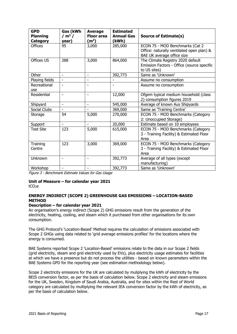| <b>GPD</b><br><b>Planning</b><br><b>Category</b> | Gas (kWh<br>/ $m2$ /<br>year) | <b>Average</b><br><b>Floor area</b><br>(m <sup>2</sup> ) | <b>Estimated</b><br><b>Annual Gas</b><br>(kWh) | <b>Source of Estimate(s)</b>                                                                               |
|--------------------------------------------------|-------------------------------|----------------------------------------------------------|------------------------------------------------|------------------------------------------------------------------------------------------------------------|
| <b>Offices</b>                                   | 95                            | 3,000                                                    | 285,000                                        | ECON 75 - MOD Benchmarks (Cat 2<br>Office: naturally ventilated open plan) &<br>BAE UK average office size |
| Offices US                                       | 288                           | 3,000                                                    | 864,000                                        | The Climate Registry 2020 default<br>Emission Factors - Office (source specific<br>to US sites)            |
| Other                                            | $\overline{\phantom{0}}$      | $\overline{\phantom{a}}$                                 | 392,773                                        | Same as 'Unknown'                                                                                          |
| Playing fields                                   |                               |                                                          |                                                | Assume no consumption                                                                                      |
| Recreational<br>use                              |                               |                                                          |                                                | Assume no consumption                                                                                      |
| Residential                                      |                               |                                                          | 12,000                                         | Ofgem typical medium household (class<br>2) consumption figures 2019                                       |
| Shipyard                                         | $\overline{\phantom{0}}$      | $\blacksquare$                                           | 545,000                                        | Average of known Aus Shipyards                                                                             |
| Social Clubs                                     |                               |                                                          | 369,000                                        | Same as 'Training Centre'                                                                                  |
| Storage                                          | 54                            | 5,000                                                    | 270,000                                        | ECON 75 - MOD Benchmarks (Category<br>2: Unoccupied Storage)                                               |
| Support                                          | $\blacksquare$                | $\blacksquare$                                           | 20,000                                         | Estimate based on 10 employees                                                                             |
| <b>Test Site</b>                                 | 123                           | 5,000                                                    | 615,000                                        | ECON 75 - MOD Benchmarks (Category<br>3 - Training Facility) & Estimated Floor<br>Area                     |
| Training<br>Centre                               | 123                           | 3,000                                                    | 369,000                                        | ECON 75 - MOD Benchmarks (Category<br>3 - Training Facility) & Estimated Floor<br>Area                     |
| Unknown                                          | $\overline{a}$                | $\overline{\phantom{a}}$                                 | 392,773                                        | Average of all types (except<br>manufacturing)                                                             |
| Workshop                                         | ٠                             | $\overline{\phantom{a}}$                                 | 392,773                                        | Same as 'Unknown'                                                                                          |

Figure 3 - Benchmark Estimate Values for Gas Usage

# **Unit of Measure – for calendar year 2021**

tCO2e

## **ENERGY INDIRECT (SCOPE 2) GREENHOUSE GAS EMISSIONS – LOCATION-BASED METHOD**

## **Description – for calendar year 2021**

An organisation's energy indirect (Scope 2) GHG emissions result from the generation of the electricity, heating, cooling, and steam which it purchased from other organisations for its own consumption.

The GHG Protocol's 'Location-Based' Method requires the calculation of emissions associated with Scope 2 GHGs using data related to 'grid average emissions profiles' for the locations where the energy is consumed.

BAE Systems reported Scope 2 'Location-Based' emissions relate to the data in our Scope 2 fields (grid electricity, steam and grid electricity used by EVs), plus electricity usage estimates for facilities at which we have a presence but do not process the utilities - based on known parameters within the BAE Systems GPD for the reporting year (see estimation methodology below).

Scope 2 electricity emissions for the UK are calculated by muliplying the kWh of electricity by the BEIS conversion factor, as per the basis of calculation below. Scope 2 electricity and steam emissions for the UK, Sweden, Kingdom of Saudi Arabia, Australia, and for sites within the Rest of World category are calculated by multiplying the relevant IEA conversion factor by the kWh of electricity, as per the basis of calculation below.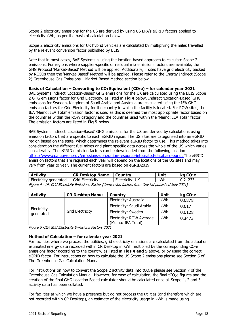Scope 2 electricity emissions for the US are derived by using US EPA's eGRID factors applied to electricity kWh, as per the basis of calculation below.

Scope 2 electricity emissions for UK hybrid vehicles are calculated by multiplying the miles travelled by the relevant conversion factor published by BEIS.

Note that in most cases, BAE Systems is using the location-based approach to calculate Scope 2 emissions. For regions where supplier-specific or residual mix emissions factors are available, the GHG Protocol 'Market-Based' Method will be applied. Additionally, if sites have grid electricity backed by REGOs then the 'Market-Based' Method will be applied. Please refer to the Energy Indirect (Scope 2) Greenhouse Gas Emissions – Market-Based Method section below.

#### **Basis of Calculation – Converting to CO2 Equivalent (CO2e) – for calendar year 2021**

BAE Systems indirect 'Location-Based' GHG emissions for the UK are calculated using the BEIS Scope 2 GHG emissions factor for Grid Electricity, as listed in **Fig 4** below. Indirect 'Location-Based' GHG emissions for Sweden, Kingdom of Saudi Arabia and Australia are calculated using the IEA GHG emission factors for Grid Electricity for the country in which the facility is located. For ROW sites, the IEA 'Memo: IEA Total' emission factor is used as this is deemed the most appropriate factor based on the countries within the ROW category and the countries used within the 'Memo: IEA Total' factor. The emission factors are listed in **Fig 5** below.

BAE Systems indirect 'Location-Based' GHG emissions for the US are derived by calculations using emission factors that are specific to each eGRID region. The US sites are categorised into an eGRID region based on the state, which determines the relevant eGRID factor to use. This method takes into consideration the different fuel mixes and plant-specific data across the whole of the US which varies considerably. The eGRID emission factors can be downloaded from the following location [https://www.epa.gov/energy/emissions-generation-resource-integrated-database-egrid.](https://www.epa.gov/energy/emissions-generation-resource-integrated-database-egrid) The eGRID emission factors that are required each year will depend on the locations of the US sites and may vary from year to year. The current factors are based on eGRID2019.

| <b>Activity</b>       | <b>CR Desktop Name</b> | Country         | Unit | kg CO <sub>2</sub> e |  |
|-----------------------|------------------------|-----------------|------|----------------------|--|
| Electricity generated | Grid Electricity       | Electricity: UK | kWh  | 0.21233              |  |
|                       |                        |                 |      |                      |  |

| Figure 4 - UK Grid Electricity Emissions Factor (Conversion factors from Gov.UK published July 2021) |  |  |  |  |  |
|------------------------------------------------------------------------------------------------------|--|--|--|--|--|
|------------------------------------------------------------------------------------------------------|--|--|--|--|--|

| <b>Activity</b><br><b>CR Desktop Name</b> |                         | Country                                       | Unit | kg CO <sub>2</sub> e |
|-------------------------------------------|-------------------------|-----------------------------------------------|------|----------------------|
|                                           | <b>Grid Electricity</b> | Electricity: Australia                        | kWh  | 0.6878               |
|                                           |                         | Electricity: Saudi Arabia                     | kWh  | 0.617                |
| Electricity<br>generated                  |                         | Electricity: Sweden                           | kWh  | 0.0128               |
|                                           |                         | Electricity: ROW Average<br>(Memo: IEA Total) | kWh  | 0.3473               |

Figure 5 -IEA Grid Electricity Emissions Factors 2021

#### **Method of Calculation – for calendar year 2021**

For facilities where we process the utilities, grid electricity emissions are calculated from the actual or estimated energy data recorded within CR Desktop in kWh multiplied by the corresponding CO<sub>2</sub>e emissions factor according to the country, as listed in **Figs 4 and 5** above, or by using the correct eGRID factor. For instructions on how to calculate the US Scope 2 emissions please see Section 5 of The Greenhouse Gas Calculation Manual.

For instructions on how to convert the Scope 2 activity data into tCO<sub>2</sub>e please see Section 7 of the Greenhouse Gas Calculation Manual. However, for ease of calculation, the final tCO<sub>2</sub>e figures and the creation of the final GHG Location Based calculator should be calculated once all Scope 1, 2 and 3 activity data has been collated.

For facilities at which we have a presence but do not process the utilities (and therefore which are not recorded within CR Desktop), an estimate of the electricity usage in kWh is made using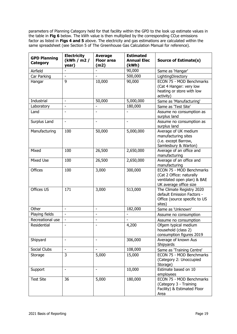parameters of Planning Category held for that facility within the GPD to the look up estimate values in the table in Fig 6 below. The kWh value is then multiplied by the corresponding CO<sub>2</sub>e emissions factor as listed in **Figs 4 and 5** above. The electricity and gas estimations are calculated within the same spreadsheet (see Section 5 of The Greenhouse Gas Calculation Manual for reference).

| <b>GPD Planning</b><br>Category | <b>Electricity</b><br>(kWh / m2 /<br>year) | <b>Average</b><br><b>Floor area</b><br>(m2) | <b>Estimated</b><br><b>Annual Elec</b><br>(kWh) | <b>Source of Estimate(s)</b>                                                                                         |
|---------------------------------|--------------------------------------------|---------------------------------------------|-------------------------------------------------|----------------------------------------------------------------------------------------------------------------------|
| Airfield                        |                                            |                                             | 90,000                                          | Same as 'Hangar'                                                                                                     |
| Car Parking                     | L.                                         |                                             | 500,000                                         | LightingDirectory                                                                                                    |
| Hangar                          | 9                                          | 10,000                                      | 90,000                                          | ECON 75 - MOD Benchmarks<br>(Cat 4 Hanger: very low<br>heating or store with low<br>activity)                        |
| Industrial                      | $\qquad \qquad \blacksquare$               | 50,000                                      | 5,000,000                                       | Same as 'Manufacturing'                                                                                              |
| Laboratory                      | $\overline{\phantom{0}}$                   |                                             | 180,000                                         | Same as 'Test Site'                                                                                                  |
| Land                            |                                            |                                             |                                                 | Assume no consumption as<br>surplus land                                                                             |
| Surplus Land                    | -                                          |                                             |                                                 | Assume no consumption as<br>surplus land                                                                             |
| Manufacturing                   | 100                                        | 50,000                                      | 5,000,000                                       | Average of UK medium<br>manufacturing sites<br>(i.e. except Barrow,<br>Samlesbury & Warton)                          |
| Mixed                           | 100                                        | 26,500                                      | 2,650,000                                       | Average of an office and<br>manufacturing                                                                            |
| <b>Mixed Use</b>                | 100                                        | 26,500                                      | 2,650,000                                       | Average of an office and<br>manufacturing                                                                            |
| <b>Offices</b>                  | 100                                        | 3,000                                       | 300,000                                         | <b>ECON 75 - MOD Benchmarks</b><br>(Cat 2 Office: naturally<br>ventilated open plan) & BAE<br>UK average office size |
| Offices US                      | 171                                        | 3,000                                       | 513,000                                         | The Climate Registry 2020<br>default Emission Factors -<br>Office (source specific to US<br>sites)                   |
| Other                           | ÷,                                         | $\overline{\phantom{a}}$                    | 182,000                                         | Same as 'Unknown'                                                                                                    |
| Playing fields                  | ÷,                                         |                                             |                                                 | Assume no consumption                                                                                                |
| Recreational use                | $\overline{\phantom{0}}$                   | $\qquad \qquad \blacksquare$                | $\overline{\phantom{a}}$                        | Assume no consumption                                                                                                |
| Residential                     | -                                          | $\overline{\phantom{a}}$                    | 4,200                                           | Ofgem typical medium<br>household (class 2)<br>consumption figures 2019                                              |
| Shipyard                        | $\overline{a}$                             | $\blacksquare$                              | 306,000                                         | Average of known Aus<br>Shipyards                                                                                    |
| Social Clubs                    | $\overline{\phantom{0}}$                   | $\blacksquare$                              | 108,000                                         | Same as 'Training Centre'                                                                                            |
| Storage                         | 3                                          | 5,000                                       | 15,000                                          | ECON 75 - MOD Benchmarks<br>(Category 2: Unoccupied<br>Storage)                                                      |
| Support                         | $\overline{a}$                             | $\overline{\phantom{a}}$                    | 10,000                                          | Estimate based on 10<br>employees                                                                                    |
| <b>Test Site</b>                | 36                                         | 5,000                                       | 180,000                                         | ECON 75 - MOD Benchmarks<br>(Category 3 - Training<br>Facility) & Estimated Floor<br>Area                            |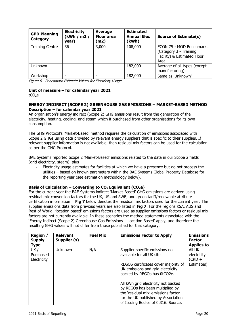| <b>GPD Planning</b><br>Category | <b>Electricity</b><br>(kWh / m2 /<br>year) | Average<br><b>Floor area</b><br>(m2) | <b>Estimated</b><br><b>Annual Elec</b><br>(kWh) | <b>Source of Estimate(s)</b>                                                              |
|---------------------------------|--------------------------------------------|--------------------------------------|-------------------------------------------------|-------------------------------------------------------------------------------------------|
| <b>Training Centre</b>          | 36                                         | 3,000                                | 108,000                                         | ECON 75 - MOD Benchmarks<br>(Category 3 - Training<br>Facility) & Estimated Floor<br>Area |
| <b>Unknown</b>                  |                                            |                                      | 182,000                                         | Average of all types (except<br>manufacturing)                                            |
| Workshop                        |                                            |                                      | 182,000                                         | Same as 'Unknown'                                                                         |

Figure 6 - Benchmark Estimate Values for Electricity Usage

# **Unit of measure – for calendar year 2021**

tCO2e

## **ENERGY INDIRECT (SCOPE 2) GREENHOUSE GAS EMISSIONS – MARKET-BASED METHOD Description – for calendar year 2021**

An organisation's energy indirect (Scope 2) GHG emissions result from the generation of the electricity, heating, cooling, and steam which it purchased from other organisations for its own consumption.

The GHG Protocol's 'Market-Based' method requires the calculation of emissions associated with Scope 2 GHGs using data provided by relevant energy suppliers that is specific to their supplies. If relevant supplier information is not available, then residual mix factors can be used for the calculation as per the GHG Protocol.

BAE Systems reported Scope 2 'Market-Based' emissions related to the data in our Scope 2 fields (grid electricity, steam), plus

Electricity usage estimates for facilities at which we have a presence but do not process the utilities – based on known parameters within the BAE Systems Global Property Database for the reporting year (see estimation methodology below).

## **Basis of Calculation – Converting to CO2 Equivalent (CO2e)**

For the current year the BAE Systems indirect 'Market-Based' GHG emissions are derived using residual mix conversion factors for the UK, US and SWE, and green tariff/renewable attribute certification information . **Fig 7** below denotes the residual mix factors used for the current year. The supplier emissions data from previous years are also listed in **Fig 7**. For the regions KSA, AUS and Rest of World, 'location based' emissions factors are used as supplier emissions factors or residual mix factors are not currently available. In these scenarios the method statements associated with the 'Energy Indirect (Scope 2) Greenhouse Gas Emissions – Location Based' apply, and therefore the resulting GHG values will not differ from those published for that category.

| <b>Region /</b><br><b>Supply</b><br><b>Type</b> | <b>Relevant</b><br>Supplier (s) | <b>Fuel Mix</b> | <b>Emissions Factor to Apply</b>                                                                         | <b>Emissions</b><br><b>Factor</b><br><b>Applies to</b> |
|-------------------------------------------------|---------------------------------|-----------------|----------------------------------------------------------------------------------------------------------|--------------------------------------------------------|
| UK /                                            | Unknown                         | N/A             | Supplier specific emissions not                                                                          | aii uk                                                 |
| Purchased<br>Electricity                        |                                 |                 | available for all UK sites.                                                                              | electricity<br>$(CRD +$                                |
|                                                 |                                 |                 | REGOS certificates cover majority of<br>UK emissions and grid electricity<br>backed by REGOs has 0tCO2e. | Estimates)                                             |
|                                                 |                                 |                 | All kWh grid electricity not backed                                                                      |                                                        |
|                                                 |                                 |                 | by REGOs has been multiplied by<br>the 'residual mix' emissions factor                                   |                                                        |
|                                                 |                                 |                 | for the UK published by Association                                                                      |                                                        |
|                                                 |                                 |                 | of Issuing Bodies of 0.316. Source:                                                                      |                                                        |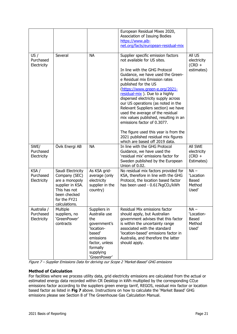|                                         |                                                                                                                                           |                                                                                                                                                      | European Residual Mixes 2020,<br>Association of Issuing Bodies<br>https://www.aib-<br>net.org/facts/european-residual-mix                                                                                                                                                                                                                                                                                                                                                                                                                                                                                              |                                                         |
|-----------------------------------------|-------------------------------------------------------------------------------------------------------------------------------------------|------------------------------------------------------------------------------------------------------------------------------------------------------|------------------------------------------------------------------------------------------------------------------------------------------------------------------------------------------------------------------------------------------------------------------------------------------------------------------------------------------------------------------------------------------------------------------------------------------------------------------------------------------------------------------------------------------------------------------------------------------------------------------------|---------------------------------------------------------|
| US/<br>Purchased<br>Electricity         | Several                                                                                                                                   | <b>NA</b>                                                                                                                                            | Supplier specific emission factors<br>not available for US sites.<br>In line with the GHG Protocol<br>Guidance, we have used the Green-<br>e Residual mix Emission rates<br>published for the US<br>(https://www.green-e.org/2021-<br>residual-mix). Due to a highly<br>dispersed electricity supply across<br>our US operations (as noted in the<br>Relevant Suppliers section) we have<br>used the average of the residual<br>mix values published, resulting in an<br>emissions factor of 0.3077.<br>The figure used this year is from the<br>2021 published residual mix figures<br>which are based off 2019 data. | All US<br>electricity<br>$(CRD +$<br>estimates)         |
| SWE/<br>Purchased<br>Electricity        | Övik Energi AB                                                                                                                            | <b>NA</b>                                                                                                                                            | In line with the GHG Protocol<br>Guidance, we have used the<br>'residual mix' emissions factor for<br>Sweden published by the European<br>Union of 0.02.                                                                                                                                                                                                                                                                                                                                                                                                                                                               | All SWE<br>electricity<br>$(CRD +$<br>Estimates)        |
| KSA /<br>Purchased<br>Electricity       | Saudi Electricity<br>Company (SEC)<br>are a monopoly<br>supplier in KSA.<br>This has not<br>been checked<br>for the FY21<br>calculations. | As KSA grid-<br>average (only<br>electricity<br>supplier in the<br>country)                                                                          | No residual mix factors provided for<br>KSA, therefore in line with the GHG<br>Protocol, the location based factor<br>has been used - 0.617kgCO2/kWh                                                                                                                                                                                                                                                                                                                                                                                                                                                                   | $NA -$<br>'Location<br><b>Based</b><br>Method<br>Used'  |
| Australia /<br>Purchased<br>Electricity | Multiple<br>suppliers, no<br>'GreenPower'<br>contracts                                                                                    | Suppliers in<br>Australia use<br>the<br>government's<br>'location-<br>based'<br>emissions<br>factor, unless<br>formally<br>supplying<br>'GreenPower' | Residual Mix emissions factor<br>should apply, but Australian<br>government advises that this factor<br>is within the uncertainty range<br>associated with the standard<br>'location-based' emissions factor in<br>Australia, and therefore the latter<br>should apply.                                                                                                                                                                                                                                                                                                                                                | $NA -$<br>'Location-<br><b>Based</b><br>Method<br>Used' |

Figure 7 – Supplier Emissions Data for deriving our Scope 2 'Market-Based' GHG emissions

## **Method of Calculation**

For facilities where we process utility data, grid electricity emissions are calculated from the actual or estimated energy data recorded within CR Desktop in kWh multiplied by the corresponding CO<sub>2</sub>e emissions factor according to the suppliers green energy tarrif, REGOS, residual mix factor or location based factor as listed in **Fig 7** above. Instructions on how to calculate the 'Market Based' GHG emissions please see Section 8 of The Greenhouse Gas Calculation Manual.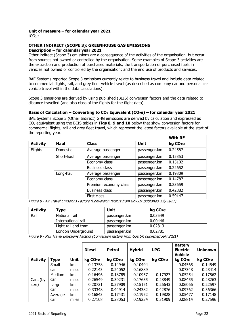## **Unit of measure – for calendar year 2021**

tCO2e

## **OTHER INDIRECT (SCOPE 3): GREENHOUSE GAS EMISSIONS Description – for calendar year 2021**

Other indirect (Scope 3) emissions are a consequence of the activities of the organisation, but occur from sources not owned or controlled by the organisation. Some examples of Scope 3 activities are the extraction and production of purchased materials; the transportation of purchased fuels in vehicles not owned or controlled by the organisation; and the end use of products and services.

BAE Systems reported Scope 3 emissions currently relate to business travel and include data related to commercial flights, rail, and grey fleet vehicle travel (as described as company car and personal car vehicle travel within the data calculations).

Scope 3 emissions are derived by using published (BEIS) conversion factors and the data related to distance travelled (and also class of the flights for the flight data).

## **Basis of Calculation – Converting to CO2 Equivalent (CO2e) – for calendar year 2021**

BAE Systems Scope 3 (Other Indirect) GHG emissions are derived by calculation and expressed as CO2 equivalent using the BEIS tables in **Figs 8, 9 and 10** below that show conversion factors for commercial flights, rail and grey fleet travel, which represent the latest factors available at the start of the reporting year.

|                            |                                |                       |              | <b>With RF</b>       |
|----------------------------|--------------------------------|-----------------------|--------------|----------------------|
| <b>Activity</b>            | Haul                           | <b>Class</b>          | <b>Unit</b>  | kg CO <sub>2</sub> e |
| <b>Flights</b><br>Domestic |                                | Average passenger     | passenger.km | 0.24587              |
|                            | Short-haul                     | Average passenger     | passenger.km | 0.15353              |
|                            |                                | Economy class         | passenger.km | 0.15102              |
| Business class             |                                | passenger.km          | 0.22652      |                      |
|                            | Long-haul<br>Average passenger |                       | passenger.km | 0.19309              |
|                            |                                | Economy class         | passenger.km | 0.14787              |
|                            |                                | Premium economy class | passenger.km | 0.23659              |
|                            |                                | <b>Business class</b> | passenger.km | 0.42882              |
|                            |                                | First class           | passenger.km | 0.59147              |

Figure 8 - Air Travel Emissions Factors (Conversion factors from Gov.UK published July 2021)

| <b>Activity</b>     | Type                          | Unit         | kg CO <sub>2</sub> e |
|---------------------|-------------------------------|--------------|----------------------|
| Rail                | National rail<br>passenger.km |              | 0.03549              |
|                     | International rail            | passenger.km | 0.00446              |
| Light rail and tram |                               | passenger.km | 0.02813              |
|                     | London Underground            | passenger.km | 0.02781              |

Figure 9 - Rail Travel Emissions Factors (Conversion factors from Gov.UK published July 2021)

|                   |             |             | <b>Diesel</b>        | <b>Petrol</b>        | <b>Hybrid</b>        | <b>LPG</b>           | <b>Battery</b><br><b>Electric</b><br><b>Vehicle</b> | <b>Unknown</b>       |
|-------------------|-------------|-------------|----------------------|----------------------|----------------------|----------------------|-----------------------------------------------------|----------------------|
| <b>Activity</b>   | <b>Type</b> | <b>Unit</b> | kg CO <sub>2</sub> e | kg CO <sub>2</sub> e | kg CO <sub>2</sub> e | kg CO <sub>2</sub> e | kg CO <sub>2</sub> e                                | kg CO <sub>2</sub> e |
|                   | Small       | km          | 0.13758              | 0.14946              | 0.10494              |                      | 0.04565                                             | 0.14549              |
| Cars (by<br>size) | car         | miles       | 0.22143              | 0.24052              | 0.16889              |                      | 0.07348                                             | 0.23414              |
|                   | Medium      | km          | 0.16496              | 0.18785              | 0.10957              | 0.17927              | 0.05254                                             | 0.17562              |
|                   | car         | miles       | 0.26549              | 0.30231              | 0.17635              | 0.28849              | 0.08455                                             | 0.28263              |
|                   | Large       | km          | 0.20721              | 0.27909              | 0.15151              | 0.26643              | 0.06066                                             | 0.22597              |
|                   | car         | miles       | 0.33348              | 0.44914              | 0.24382              | 0.42876              | 0.09762                                             | 0.36366              |
|                   | Average     | km          | 0.16843              | 0.17431              | 0.11952              | 0.19828              | 0.05477                                             | 0.17148              |
|                   | car         | miles       | 0.27108              | 0.28053              | 0.19234              | 0.31909              | 0.08814                                             | 0.27596              |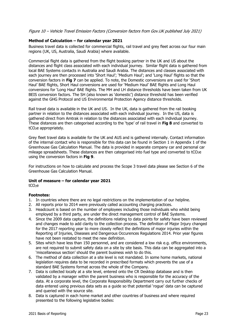## Figure 10 – Vehicle Travel Emission Factors (Conversion factors from Gov.UK published July 2021)

#### **Method of Calculation – for calendar year 2021**

Business travel data is collected for commercial flights, rail travel and grey fleet across our four main regions (UK, US, Australia, Saudi Arabia) where available.

Commercial flight data is gathered from the flight booking partner in the UK and US about the distances and flight class associated with each individual journey. Similar flight data is gathered from local BAE Systems contacts in Australia and Saudi Arabia. The distances and classes associated with each journey are then processed into 'Short Haul'; 'Medium Haul'; and 'Long Haul' flights so that the conversion factors in **Fig 7** can be applied. To note, the Domestic conversions are used for 'Short Haul' BAE flights, Short Haul conversions are used for 'Medium Haul' BAE flights and Long Haul conversions for 'Long Haul' BAE flights. The MH and LH distance thresholds have been taken from UK BEIS conversion factors. The SH (also known as 'domestic') distance threshold has been verified against the GHG Protocol and US Environmental Protection Agency distance thresholds.

Rail travel data is available in the UK and US. In the UK, data is gathered from the rail booking partner in relation to the distances associated with each individual journey. In the US, data is gathered direct from Amtrak in relation to the distances associated with each individual journey. These distances are then categorised according to the 'type' of rail travel in **Fig 8** and converted to tCO2e appropriately.

Grey fleet travel data is available for the UK and AUS and is gathered internally. Contact information of the internal contact who is responsible for this data can be found in Section 1 in Appendix 1 of the Greenhouse Gas Calculation Manual. The data is provided in separate company car and personal car mileage spreadsheets. These distances are then categorised into fuel type and converted to tCO2e using the conversion factors in **Fig 9**.

For instructions on how to calculate and process the Scope 3 travel data please see Section 6 of the Greenhouse Gas Calculation Manual.

## **Unit of measure – for calendar year 2021**

tCO<sub>2</sub>e

## **Footnotes:**

- 1. In countries where there are no legal restrictions on the implementation of our helpline.
- 2. All reports prior to 2014 were previously called accounting charging practices.
- 3. Headcount is based on the number of employees including those individuals who whilst being employed by a third party, are under the direct management control of BAE Systems.
- 4. Since the 2009 data capture, the definitions relating to data points for safety have been reviewed and changes made to add clarity to the collection process. The definition of Major Injury changed for the 2017 reporting year to more closely reflect the definitions of major injuries within the Reporting of Injuries, Diseases and Dangerous Occurences Regulations 2014. Prior year figures have not been restated to meet the new definition.
- 5. Sites which have less than 150 personnel, and are considered a low risk e.g. office environments, are not required to submit safety data on a site by site basis. This data can be aggregated into a 'miscellaneous section' should the parent business wish to do this.
- 6. The method of data collection at a site level is not mandated. In some home markets, national legislation requires data to be recorded in prescribed formats which prevents the use of a standard BAE Systems format across the whole of the Company.
- 7. Data is collected locally at a site level, entered onto the CR Desktop database and is then validated by a manager within the parent business who is responsible for the accuracy of the data. At a corporate level, the Corporate Responsibility Department carry out further checks of data entered using previous data sets as a guide so that potential 'rogue' data can be captured and queried with the source site.
- 8. Data is captured in each home market and other countries of business and where required presented to the following legislative bodies: